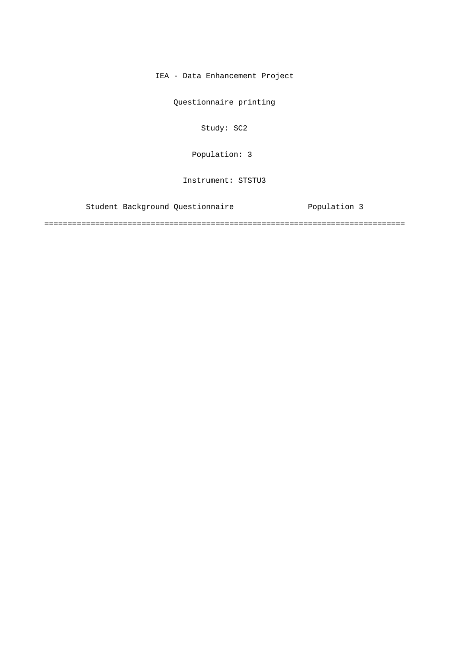IEA - Data Enhancement Project

Questionnaire printing

Study: SC2

Population: 3

Instrument: STSTU3

Student Background Questionnaire Population 3

==============================================================================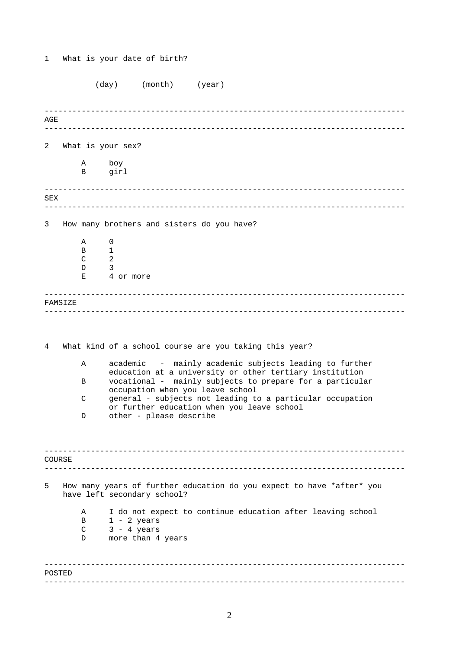1 What is your date of birth?

|     |         |                  | (day)<br>(month)<br>(year)                                                                                          |
|-----|---------|------------------|---------------------------------------------------------------------------------------------------------------------|
| AGE |         |                  |                                                                                                                     |
|     |         |                  |                                                                                                                     |
| 2   |         |                  | What is your sex?                                                                                                   |
|     |         | Α                | boy                                                                                                                 |
|     |         | B                | girl                                                                                                                |
| SEX |         |                  |                                                                                                                     |
|     |         |                  |                                                                                                                     |
| 3   |         |                  | How many brothers and sisters do you have?                                                                          |
|     |         | Α                | 0                                                                                                                   |
|     |         | B<br>C           | 1<br>2                                                                                                              |
|     |         | D                | 3                                                                                                                   |
|     |         | Е                | 4 or more                                                                                                           |
|     | FAMSIZE |                  |                                                                                                                     |
|     |         |                  |                                                                                                                     |
| 4   |         |                  | What kind of a school course are you taking this year?                                                              |
|     |         | Α                | academic - mainly academic subjects leading to further                                                              |
|     |         | B                | education at a university or other tertiary institution<br>vocational - mainly subjects to prepare for a particular |
|     |         | C                | occupation when you leave school<br>general - subjects not leading to a particular occupation                       |
|     |         |                  | or further education when you leave school                                                                          |
|     |         | D                | other - please describe                                                                                             |
|     |         |                  |                                                                                                                     |
|     |         |                  |                                                                                                                     |
|     | COURSE  |                  |                                                                                                                     |
| 5   |         |                  | How many years of further education do you expect to have *after* you<br>have left secondary school?                |
|     |         | Α                | I do not expect to continue education after leaving school                                                          |
|     |         | B<br>$\mathsf C$ | $1 - 2$ years<br>$3 - 4 \text{ years}$                                                                              |
|     |         | D                | more than 4 years                                                                                                   |
|     |         |                  |                                                                                                                     |
|     | POSTED  |                  |                                                                                                                     |
|     |         |                  |                                                                                                                     |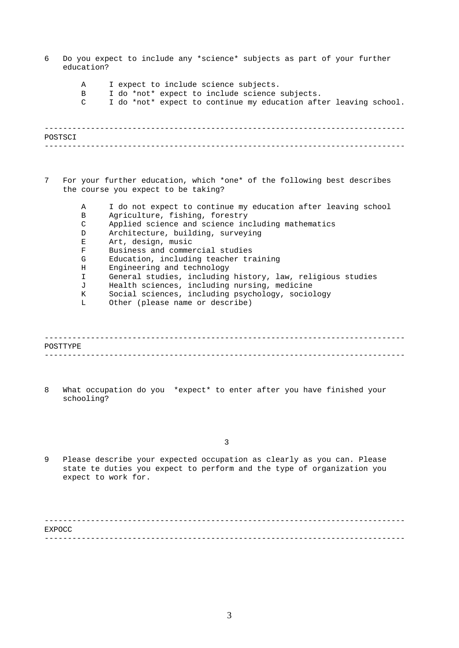- ------------------------------------------------------------------------------ ------------------------------------------------------------------------------ ------------------------------------------------------------------------------ ------------------------------------------------------------------------------ 6 Do you expect to include any \*science\* subjects as part of your further education? A I expect to include science subjects. B I do \*not\* expect to include science subjects. C I do \*not\* expect to continue my education after leaving school. POSTSCI 7 For your further education, which \*one\* of the following best describes the course you expect to be taking? A I do not expect to continue my education after leaving school B Agriculture, fishing, forestry C Applied science and science including mathematics D Architecture, building, surveying E Art, design, music F Business and commercial studies G Education, including teacher training H Engineering and technology I General studies, including history, law, religious studies J Health sciences, including nursing, medicine K Social sciences, including psychology, sociology L Other (please name or describe) POSTTYPE
- 8 What occupation do you \*expect\* to enter after you have finished your schooling?

3

9 Please describe your expected occupation as clearly as you can. Please state te duties you expect to perform and the type of organization you expect to work for.

------------------------------------------------------------------------------ ------------------------------------------------------------------------------ **EXPOCC**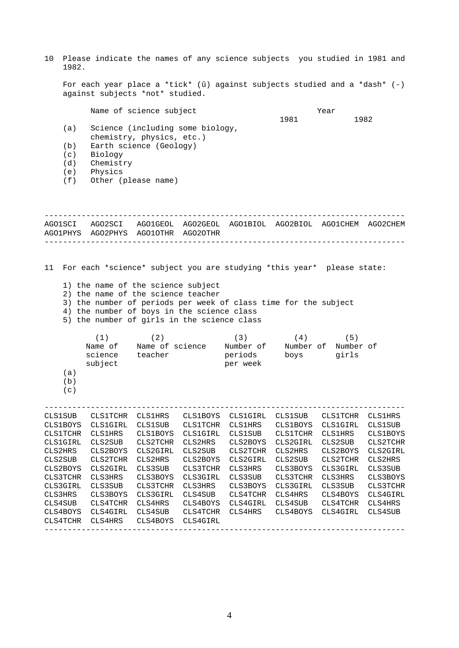10 Please indicate the names of any science subjects you studied in 1981 and 1982.

For each year place a \*tick\* (û) against subjects studied and a \*dash\* (-) against subjects \*not\* studied.

|     | Name of science subject                                       |      | Year |
|-----|---------------------------------------------------------------|------|------|
|     |                                                               | 1981 | 1982 |
| (a) | Science (including some biology,<br>chemistry, physics, etc.) |      |      |
|     |                                                               |      |      |
| (b) | Earth science (Geology)                                       |      |      |
| (c) | Biology                                                       |      |      |
| (d) | Chemistry                                                     |      |      |
| (e) | Physics                                                       |      |      |

(f) Other (please name)

------------------------------------------------------------------------------ ------------------------------------------------------------------------------ AGO1SCI AGO2SCI AGO1GEOL AGO2GEOL AGO1BIOL AGO2BIOL AGO1CHEM AGO2CHEM AGO1PHYS AGO2PHYS AGO1OTHR AGO2OTHR

11 For each \*science\* subject you are studying \*this year\* please state:

1) the name of the science subject

CLS4TCHR CLS4HRS CLS4BOYS CLS4GIRL

- 2) the name of the science teacher
- 3) the number of periods per week of class time for the subject
- 4) the number of boys in the science class
- 5) the number of girls in the science class

|                 | (1)             | (2)             |                 | (3)            | (4)             | (5)             |                 |
|-----------------|-----------------|-----------------|-----------------|----------------|-----------------|-----------------|-----------------|
|                 | Name of         | Name of science |                 | Number of      | Number of       | Number of       |                 |
|                 | science         | teacher         |                 | periods        | boys            | girls           |                 |
|                 | subject         |                 |                 | per week       |                 |                 |                 |
| (a)             |                 |                 |                 |                |                 |                 |                 |
| (b)             |                 |                 |                 |                |                 |                 |                 |
| (c)             |                 |                 |                 |                |                 |                 |                 |
|                 |                 |                 |                 |                |                 |                 |                 |
| <b>CLS1SUB</b>  | <b>CLS1TCHR</b> | <b>CLS1HRS</b>  | <b>CLS1BOYS</b> | CLS1GIRL       | <b>CLS1SUB</b>  | <b>CLS1TCHR</b> | <b>CLS1HRS</b>  |
| <b>CLS1BOYS</b> | CLS1GIRL        | <b>CLS1SUB</b>  | <b>CLS1TCHR</b> | <b>CLS1HRS</b> | <b>CLS1BOYS</b> | <b>CLS1GIRL</b> | <b>CLS1SUB</b>  |
| <b>CLS1TCHR</b> | <b>CLS1HRS</b>  | <b>CLS1BOYS</b> | CLS1GIRL        | <b>CLS1SUB</b> | <b>CLS1TCHR</b> | <b>CLS1HRS</b>  | <b>CLS1BOYS</b> |
| <b>CLS1GIRL</b> | CLS2SUB         | CLS2TCHR        | CLS2HRS         | CLS2BOYS       | CLS2GIRL        | CLS2SUB         | CLS2TCHR        |
| CLS2HRS         | CLS2BOYS        | CLS2GIRL        | CLS2SUB         | CLS2TCHR       | CLS2HRS         | CLS2BOYS        | CLS2GIRL        |
| CLS2SUB         | CLS2TCHR        | CLS2HRS         | CLS2BOYS        | CLS2GIRL       | CLS2SUB         | CLS2TCHR        | CLS2HRS         |
| CLS2BOYS        | CLS2GIRL        | CLS3SUB         | CLS3TCHR        | CLS3HRS        | CLS3BOYS        | CLS3GIRL        | CLS3SUB         |
| CLS3TCHR        | CLS3HRS         | CLS3BOYS        | CLS3GIRL        | CLS3SUB        | CLS3TCHR        | CLS3HRS         | CLS3BOYS        |
| CLS3GIRL        | CLS3SUB         | CLS3TCHR        | CLS3HRS         | CLS3BOYS       | CLS3GIRL        | CLS3SUB         | CLS3TCHR        |
| CLS3HRS         | CLS3BOYS        | CLS3GIRL        | CLS4SUB         | CLS4TCHR       | CLS4HRS         | CLS4BOYS        | CLS4GIRL        |
| CLS4SUB         | CLS4TCHR        | CLS4HRS         | CLS4BOYS        | CLS4GIRL       | CLS4SUB         | CLS4TCHR        | CLS4HRS         |

------------------------------------------------------------------------------

CLS4BOYS CLS4GIRL CLS4SUB CLS4TCHR CLS4HRS CLS4BOYS CLS4GIRL CLS4SUB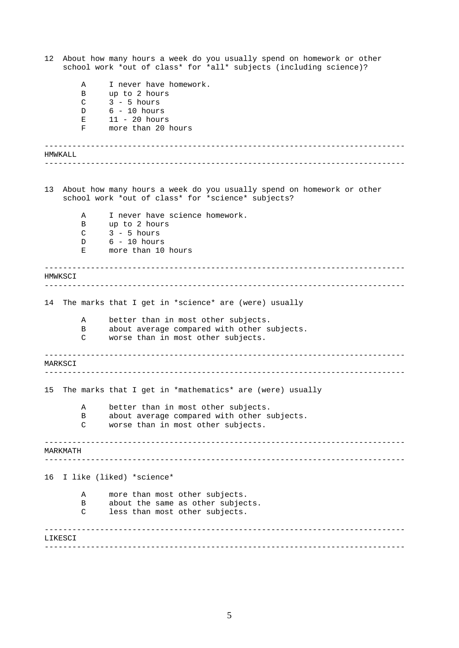| 12 | About how many hours a week do you usually spend on homework or other<br>school work *out of class* for *all* subjects (including science)? |        |                                                          |  |  |  |
|----|---------------------------------------------------------------------------------------------------------------------------------------------|--------|----------------------------------------------------------|--|--|--|
|    |                                                                                                                                             | Α      | I never have homework.                                   |  |  |  |
|    |                                                                                                                                             | В      | up to 2 hours                                            |  |  |  |
|    |                                                                                                                                             | C      | $3 - 5$ hours                                            |  |  |  |
|    |                                                                                                                                             | D      | $6 - 10$ hours                                           |  |  |  |
|    |                                                                                                                                             | Ε<br>F | $11 - 20$ hours<br>more than 20 hours                    |  |  |  |
|    |                                                                                                                                             |        |                                                          |  |  |  |
|    | HMWKALL                                                                                                                                     |        | ---------------------------                              |  |  |  |
| 13 |                                                                                                                                             |        |                                                          |  |  |  |
|    | About how many hours a week do you usually spend on homework or other<br>school work *out of class* for *science* subjects?                 |        |                                                          |  |  |  |
|    |                                                                                                                                             | Α      | I never have science homework.                           |  |  |  |
|    |                                                                                                                                             | B<br>C | up to 2 hours<br>$3 - 5$ hours                           |  |  |  |
|    |                                                                                                                                             | D      | $6 - 10$ hours                                           |  |  |  |
|    |                                                                                                                                             | Е      | more than 10 hours                                       |  |  |  |
|    | HMWKSCI                                                                                                                                     |        |                                                          |  |  |  |
|    |                                                                                                                                             |        |                                                          |  |  |  |
| 14 |                                                                                                                                             |        | The marks that I get in *science* are (were) usually     |  |  |  |
|    |                                                                                                                                             | Α      | better than in most other subjects.                      |  |  |  |
|    |                                                                                                                                             | В      | about average compared with other subjects.              |  |  |  |
|    |                                                                                                                                             | C      | worse than in most other subjects.                       |  |  |  |
|    | MARKSCI                                                                                                                                     |        |                                                          |  |  |  |
|    |                                                                                                                                             |        |                                                          |  |  |  |
| 15 |                                                                                                                                             |        | The marks that I get in *mathematics* are (were) usually |  |  |  |
|    |                                                                                                                                             | Α      | better than in most other subjects.                      |  |  |  |
|    |                                                                                                                                             | B      | about average compared with other subjects.              |  |  |  |
|    |                                                                                                                                             | C      | worse than in most other subjects.                       |  |  |  |
|    | MARKMATH                                                                                                                                    |        |                                                          |  |  |  |
|    |                                                                                                                                             |        |                                                          |  |  |  |
| 16 |                                                                                                                                             |        | I like (liked) *science*                                 |  |  |  |
|    |                                                                                                                                             | Α      | more than most other subjects.                           |  |  |  |
|    |                                                                                                                                             | B      | about the same as other subjects.                        |  |  |  |
|    |                                                                                                                                             | C      | less than most other subjects.                           |  |  |  |
|    | LIKESCI                                                                                                                                     |        |                                                          |  |  |  |
|    |                                                                                                                                             |        |                                                          |  |  |  |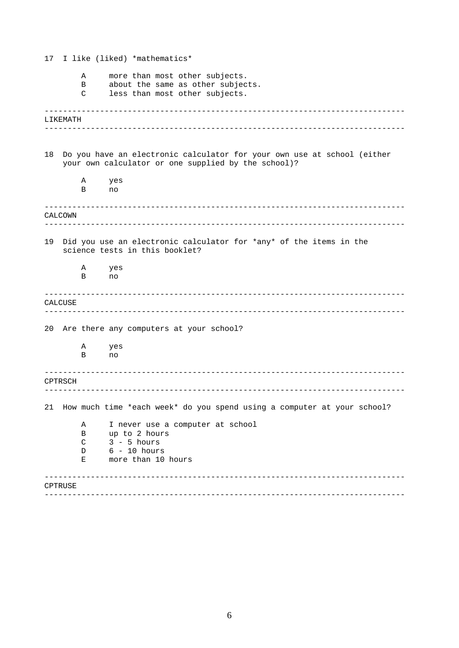| 17 |          |   | I like (liked) *mathematics*                                                                                                   |
|----|----------|---|--------------------------------------------------------------------------------------------------------------------------------|
|    |          | Α | more than most other subjects.                                                                                                 |
|    |          | B | about the same as other subjects.                                                                                              |
|    |          | C | less than most other subjects.                                                                                                 |
|    |          |   |                                                                                                                                |
|    | LIKEMATH |   |                                                                                                                                |
|    |          |   |                                                                                                                                |
|    |          |   |                                                                                                                                |
| 18 |          |   | Do you have an electronic calculator for your own use at school (either<br>your own calculator or one supplied by the school)? |
|    |          | Α | yes                                                                                                                            |
|    |          | В | no                                                                                                                             |
|    |          |   |                                                                                                                                |
|    | CALCOWN  |   |                                                                                                                                |
|    |          |   |                                                                                                                                |
| 19 |          |   | Did you use an electronic calculator for *any* of the items in the                                                             |
|    |          |   | science tests in this booklet?                                                                                                 |
|    |          | Α | yes                                                                                                                            |
|    |          | B | no                                                                                                                             |
|    |          |   |                                                                                                                                |
|    | CALCUSE  |   |                                                                                                                                |
|    |          |   |                                                                                                                                |
| 20 |          |   | Are there any computers at your school?                                                                                        |
|    |          |   |                                                                                                                                |
|    |          | Α | yes                                                                                                                            |
|    |          | В | no                                                                                                                             |
|    |          |   |                                                                                                                                |
|    | CPTRSCH  |   |                                                                                                                                |
|    |          |   |                                                                                                                                |
|    |          |   | How much time *each week* do you spend using a computer at your school?                                                        |
| 21 |          |   |                                                                                                                                |
|    |          | Α | I never use a computer at school                                                                                               |
|    |          | B | up to 2 hours                                                                                                                  |
|    |          | C | $3 - 5 hours$                                                                                                                  |
|    |          | D | $6 - 10$ hours                                                                                                                 |
|    |          | Е | more than 10 hours                                                                                                             |
|    |          |   |                                                                                                                                |
|    | CPTRUSE  |   |                                                                                                                                |
|    |          |   |                                                                                                                                |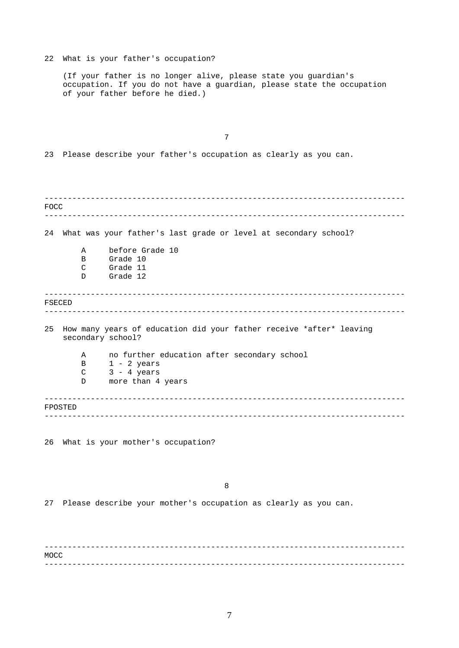------------------------------------------------------------------------------ ------------------------------------------------------------------------------ ------------------------------------------------------------------------------ ------------------------------------------------------------------------------ ------------------------------------------------------------------------------ ------------------------------------------------------------------------------ ------------------------------------------------------------------------------ ------------------------------------------------------------------------------ 22 What is your father's occupation? (If your father is no longer alive, please state you guardian's occupation. If you do not have a guardian, please state the occupation of your father before he died.) 7 23 Please describe your father's occupation as clearly as you can. FOCC 24 What was your father's last grade or level at secondary school? A before Grade 10 B Grade 10 C Grade 11 D Grade 12 FSECED 25 How many years of education did your father receive \*after\* leaving secondary school? A no further education after secondary school  $B$  1 - 2 years  $C$  3 - 4 years D more than 4 years FPOSTED 26 What is your mother's occupation? 8 27 Please describe your mother's occupation as clearly as you can. MOCC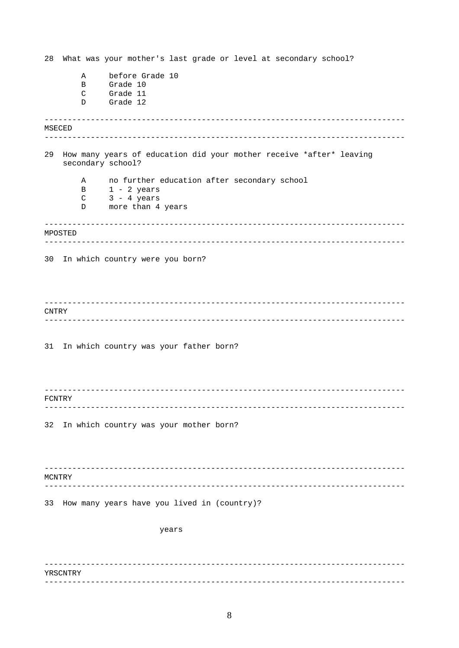28 What was your mother's last grade or level at secondary school? before Grade 10  $\mathbb A$  $\mathbf{B}$ Grade 10  $\mathcal{C}$ Grade 11 Grade 12  $\mathbf{D}$ MSECED 29 How many years of education did your mother receive \*after\* leaving secondary school? no further education after secondary school  $\overline{A}$  $1 - 2$  years<br> $3 - 4$  years  $\, {\bf B} \,$  $\mathsf C$  $\mathbb D$ more than 4 years MPOSTED 30 In which country were you born? CNTRY 31 In which country was your father born? FCNTRY 32 In which country was your mother born? MCNTRY 33 How many years have you lived in (country)? years **YRSCNTRY**